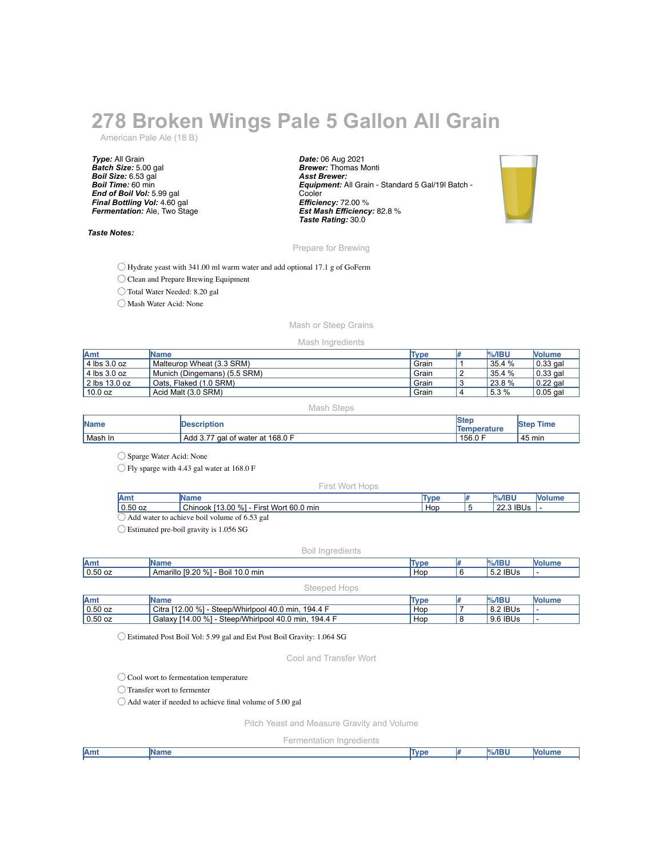# **278 Broken Wings Pale 5 Gallon All Grain**

American Pale Ale (18 B)

*Type:* All Grain *Batch Size:* 5.00 gal *Boil Size:* 6.53 gal *Boil Time:* 60 min *End of Boil Vol:* 5.99 gal *Final Bottling Vol:* 4.60 gal *Fermentation:* Ale, Two Stage

## *Taste Notes:*

*Date:* 06 Aug 2021 *Brewer:* Thomas Monti *Asst Brewer: Equipment:* All Grain - Standard 5 Gal/19l Batch - **Cooler** *Efficiency:* 72.00 % *Est Mash Efficiency:* 82.8 % *Taste Rating:* 30.0



## Prepare for Brewing

◯ Hydrate yeast with 341.00 ml warm water and add optional 17.1 g of GoFerm

◯ Clean and Prepare Brewing Equipment

◯ Total Water Needed: 8.20 gal

◯ Mash Water Acid: None

# Mash or Steep Grains

### Mash Ingredients

| Amt                   | <b>IName</b>                 | Type  | $%$ /IBU | <b>Nolume</b> |
|-----------------------|------------------------------|-------|----------|---------------|
| $4$ lbs $3.0$ oz      | Malteurop Wheat (3.3 SRM)    | Grain | 35.4 %   | $0.33$ gal    |
| $4$ lbs 3.0 oz        | Munich (Dingemans) (5.5 SRM) | Grain | 35.4 %   | $0.33$ gal    |
| $\vert$ 2 lbs 13.0 oz | Oats. Flaked (1.0 SRM)       | Grain | 23.8 %   | $0.22$ gal    |
| 10.0 oz               | Acid Malt (3.0 SRM)          | Grain | 5.3%     | $0.05$ gal    |

#### Mash Steps

| <b>Name</b> | <b>IDescription</b>              | <b>Ster</b><br><b>Temperature</b> | Time<br><b>Step</b> |
|-------------|----------------------------------|-----------------------------------|---------------------|
| Mash In     | Add 3.77 gal of water at 168.0 F | 4156.0F                           | 45 min              |

◯ Sparge Water Acid: None

◯ Fly sparge with 4.43 gal water at 168.0 F

#### First Wort Hops

| 'Amı                                         | <b>Wame</b>                                | <b>Type</b> |  | $%$ /IBU  | /olume |
|----------------------------------------------|--------------------------------------------|-------------|--|-----------|--------|
| $'$ 0.50 oz                                  | Chinook [13.00 %]<br>- First Wort 60.0 min | Hop         |  | 22.3 IBUs |        |
| Add water to achieve boil volume of 6.53 gal |                                            |             |  |           |        |

◯ Estimated pre-boil gravity is 1.056 SG

#### Boil Ingredients

| Amt       | <b>Name</b>                       | Type |  | %/IBU      |  |
|-----------|-----------------------------------|------|--|------------|--|
| $0.50$ oz | Amarillo [9.20 %] - Boil 10.0 min | Hop  |  | $5.2$ IBUs |  |
|           | Steeped<br><b>TUDS</b>            |      |  |            |  |

| <b>Amt</b>      | <b>Name</b>                                                                | Type | $%$ /IBU | <b>Nolume</b> |
|-----------------|----------------------------------------------------------------------------|------|----------|---------------|
| $\vert$ 0.50 oz | Citra [12.00 %] -<br>- Steep/Whirlpool 40.0 min. 194.4 F                   | Hop  | 8.2 IBUs | . .           |
| $0.50$ oz       | <sup>[</sup> 14.00 %] - ৻<br>- Steep/Whirlpool 40.0 min, 194.4 F<br>Galaxv | Hop  | 9.6 IBUs | . .           |

◯ Estimated Post Boil Vol: 5.99 gal and Est Post Boil Gravity: 1.064 SG

Cool and Transfer Wort

◯ Cool wort to fermentation temperature

◯ Transfer wort to fermenter

 $\bigcirc$  Add water if needed to achieve final volume of 5.00 gal

Pitch Yeast and Measure Gravity and Volume

Fermentation Ingredients

| Amt | <b>IName</b> | Tvpe | $\frac{9}{6}$ /IBU | Molum |
|-----|--------------|------|--------------------|-------|
|     |              |      |                    |       |